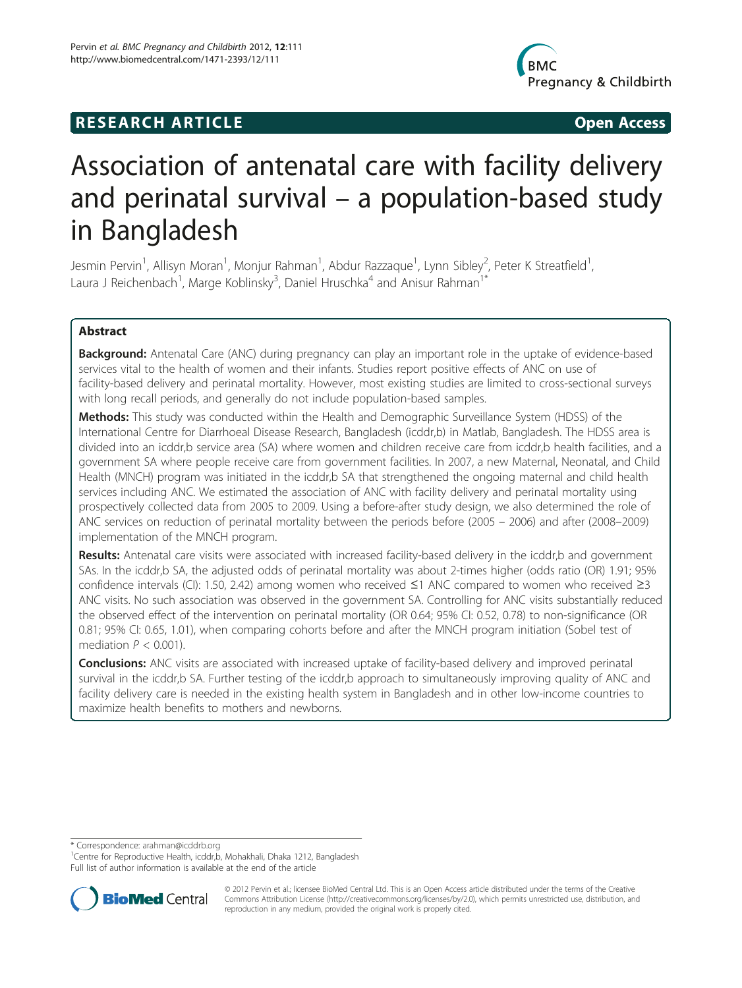## **RESEARCH ARTICLE Example 2018 12:00 Open Access**



# Association of antenatal care with facility delivery and perinatal survival – a population-based study in Bangladesh

Jesmin Pervin<sup>1</sup>, Allisyn Moran<sup>1</sup>, Monjur Rahman<sup>1</sup>, Abdur Razzaque<sup>1</sup>, Lynn Sibley<sup>2</sup>, Peter K Streatfield<sup>1</sup> , Laura J Reichenbach<sup>1</sup>, Marge Koblinsky<sup>3</sup>, Daniel Hruschka<sup>4</sup> and Anisur Rahman<sup>1\*</sup>

## Abstract

Background: Antenatal Care (ANC) during pregnancy can play an important role in the uptake of evidence-based services vital to the health of women and their infants. Studies report positive effects of ANC on use of facility-based delivery and perinatal mortality. However, most existing studies are limited to cross-sectional surveys with long recall periods, and generally do not include population-based samples.

Methods: This study was conducted within the Health and Demographic Surveillance System (HDSS) of the International Centre for Diarrhoeal Disease Research, Bangladesh (icddr,b) in Matlab, Bangladesh. The HDSS area is divided into an icddr,b service area (SA) where women and children receive care from icddr,b health facilities, and a government SA where people receive care from government facilities. In 2007, a new Maternal, Neonatal, and Child Health (MNCH) program was initiated in the icddr,b SA that strengthened the ongoing maternal and child health services including ANC. We estimated the association of ANC with facility delivery and perinatal mortality using prospectively collected data from 2005 to 2009. Using a before-after study design, we also determined the role of ANC services on reduction of perinatal mortality between the periods before (2005 – 2006) and after (2008–2009) implementation of the MNCH program.

Results: Antenatal care visits were associated with increased facility-based delivery in the icddr, b and government SAs. In the icddr,b SA, the adjusted odds of perinatal mortality was about 2-times higher (odds ratio (OR) 1.91; 95% confidence intervals (CI): 1.50, 2.42) among women who received ≤1 ANC compared to women who received ≥3 ANC visits. No such association was observed in the government SA. Controlling for ANC visits substantially reduced the observed effect of the intervention on perinatal mortality (OR 0.64; 95% CI: 0.52, 0.78) to non-significance (OR 0.81; 95% CI: 0.65, 1.01), when comparing cohorts before and after the MNCH program initiation (Sobel test of mediation  $P < 0.001$ ).

**Conclusions:** ANC visits are associated with increased uptake of facility-based delivery and improved perinatal survival in the icddr,b SA. Further testing of the icddr,b approach to simultaneously improving quality of ANC and facility delivery care is needed in the existing health system in Bangladesh and in other low-income countries to maximize health benefits to mothers and newborns.

\* Correspondence: [arahman@icddrb.org](mailto:arahman@icddrb.org) <sup>1</sup>

<sup>1</sup> Centre for Reproductive Health, icddr,b, Mohakhali, Dhaka 1212, Bangladesh Full list of author information is available at the end of the article



© 2012 Pervin et al.; licensee BioMed Central Ltd. This is an Open Access article distributed under the terms of the Creative Commons Attribution License [\(http://creativecommons.org/licenses/by/2.0\)](http://creativecommons.org/licenses/by/2.0), which permits unrestricted use, distribution, and reproduction in any medium, provided the original work is properly cited.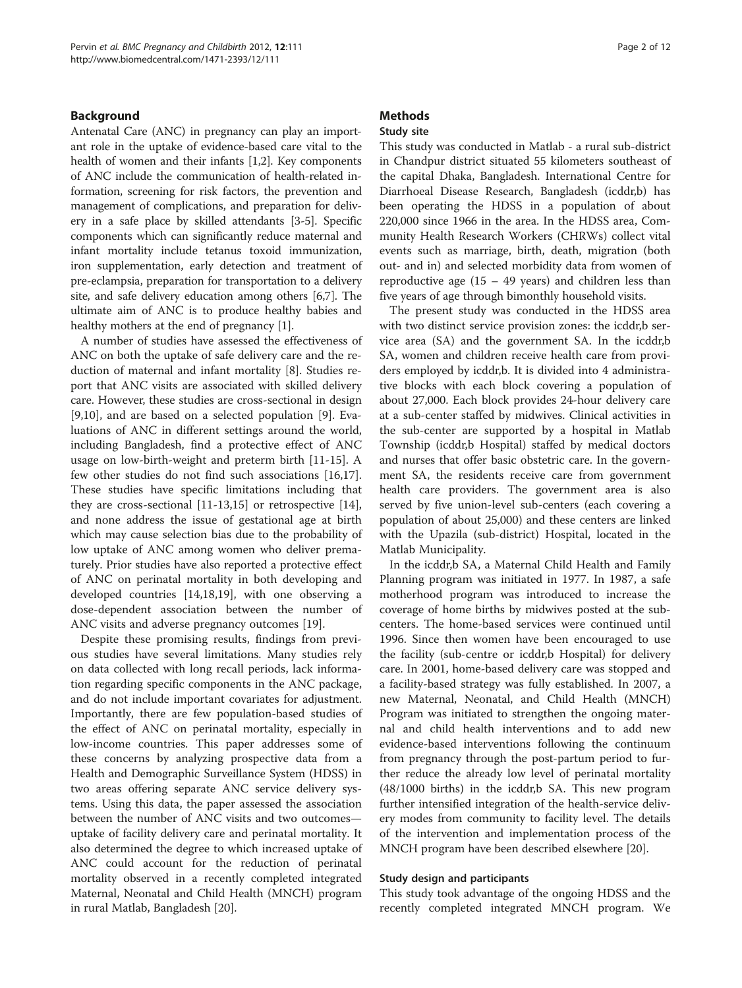#### Background

Antenatal Care (ANC) in pregnancy can play an important role in the uptake of evidence-based care vital to the health of women and their infants [\[1,2](#page-10-0)]. Key components of ANC include the communication of health-related information, screening for risk factors, the prevention and management of complications, and preparation for delivery in a safe place by skilled attendants [\[3](#page-10-0)-[5\]](#page-10-0). Specific components which can significantly reduce maternal and infant mortality include tetanus toxoid immunization, iron supplementation, early detection and treatment of pre-eclampsia, preparation for transportation to a delivery site, and safe delivery education among others [\[6,7\]](#page-10-0). The ultimate aim of ANC is to produce healthy babies and healthy mothers at the end of pregnancy [\[1\]](#page-10-0).

A number of studies have assessed the effectiveness of ANC on both the uptake of safe delivery care and the reduction of maternal and infant mortality [\[8](#page-10-0)]. Studies report that ANC visits are associated with skilled delivery care. However, these studies are cross-sectional in design [[9,10\]](#page-10-0), and are based on a selected population [[9\]](#page-10-0). Evaluations of ANC in different settings around the world, including Bangladesh, find a protective effect of ANC usage on low-birth-weight and preterm birth [\[11](#page-10-0)-[15\]](#page-10-0). A few other studies do not find such associations [\[16,17](#page-10-0)]. These studies have specific limitations including that they are cross-sectional [\[11](#page-10-0)-[13,15](#page-10-0)] or retrospective [\[14](#page-10-0)], and none address the issue of gestational age at birth which may cause selection bias due to the probability of low uptake of ANC among women who deliver prematurely. Prior studies have also reported a protective effect of ANC on perinatal mortality in both developing and developed countries [[14,18,19\]](#page-10-0), with one observing a dose-dependent association between the number of ANC visits and adverse pregnancy outcomes [[19\]](#page-10-0).

Despite these promising results, findings from previous studies have several limitations. Many studies rely on data collected with long recall periods, lack information regarding specific components in the ANC package, and do not include important covariates for adjustment. Importantly, there are few population-based studies of the effect of ANC on perinatal mortality, especially in low-income countries. This paper addresses some of these concerns by analyzing prospective data from a Health and Demographic Surveillance System (HDSS) in two areas offering separate ANC service delivery systems. Using this data, the paper assessed the association between the number of ANC visits and two outcomes uptake of facility delivery care and perinatal mortality. It also determined the degree to which increased uptake of ANC could account for the reduction of perinatal mortality observed in a recently completed integrated Maternal, Neonatal and Child Health (MNCH) program in rural Matlab, Bangladesh [\[20\]](#page-10-0).

## **Methods**

#### Study site

This study was conducted in Matlab - a rural sub-district in Chandpur district situated 55 kilometers southeast of the capital Dhaka, Bangladesh. International Centre for Diarrhoeal Disease Research, Bangladesh (icddr,b) has been operating the HDSS in a population of about 220,000 since 1966 in the area. In the HDSS area, Community Health Research Workers (CHRWs) collect vital events such as marriage, birth, death, migration (both out- and in) and selected morbidity data from women of reproductive age  $(15 - 49$  years) and children less than five years of age through bimonthly household visits.

The present study was conducted in the HDSS area with two distinct service provision zones: the icddr, b service area (SA) and the government SA. In the icddr,b SA, women and children receive health care from providers employed by icddr,b. It is divided into 4 administrative blocks with each block covering a population of about 27,000. Each block provides 24-hour delivery care at a sub-center staffed by midwives. Clinical activities in the sub-center are supported by a hospital in Matlab Township (icddr,b Hospital) staffed by medical doctors and nurses that offer basic obstetric care. In the government SA, the residents receive care from government health care providers. The government area is also served by five union-level sub-centers (each covering a population of about 25,000) and these centers are linked with the Upazila (sub-district) Hospital, located in the Matlab Municipality.

In the icddr,b SA, a Maternal Child Health and Family Planning program was initiated in 1977. In 1987, a safe motherhood program was introduced to increase the coverage of home births by midwives posted at the subcenters. The home-based services were continued until 1996. Since then women have been encouraged to use the facility (sub-centre or icddr,b Hospital) for delivery care. In 2001, home-based delivery care was stopped and a facility-based strategy was fully established. In 2007, a new Maternal, Neonatal, and Child Health (MNCH) Program was initiated to strengthen the ongoing maternal and child health interventions and to add new evidence-based interventions following the continuum from pregnancy through the post-partum period to further reduce the already low level of perinatal mortality (48/1000 births) in the icddr,b SA. This new program further intensified integration of the health-service delivery modes from community to facility level. The details of the intervention and implementation process of the MNCH program have been described elsewhere [[20\]](#page-10-0).

#### Study design and participants

This study took advantage of the ongoing HDSS and the recently completed integrated MNCH program. We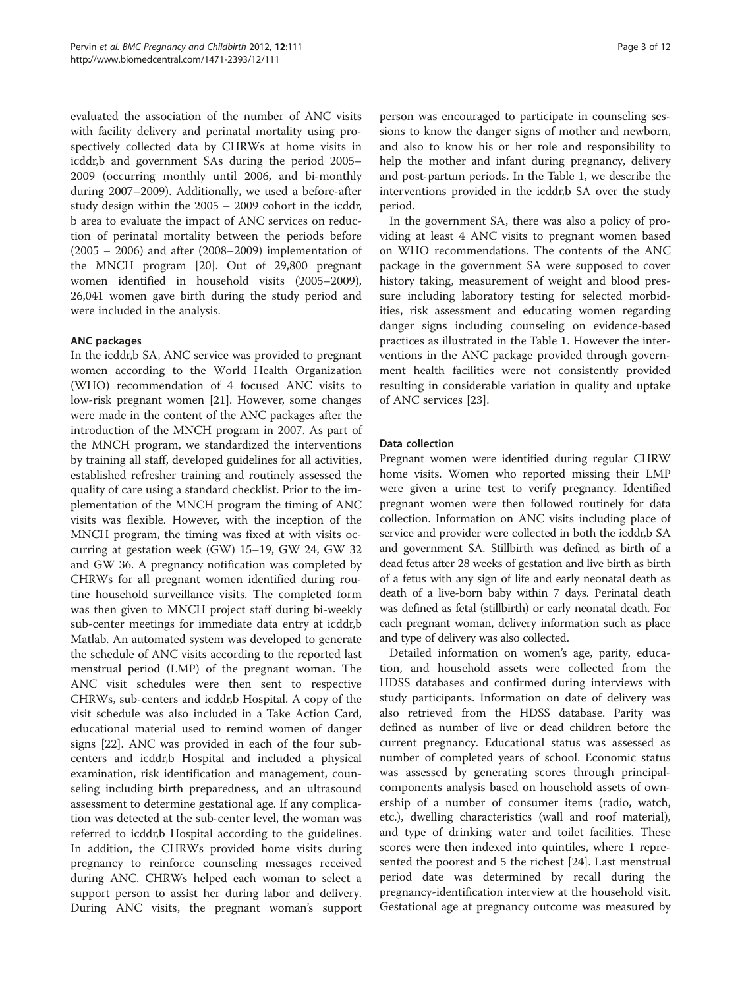evaluated the association of the number of ANC visits with facility delivery and perinatal mortality using prospectively collected data by CHRWs at home visits in icddr,b and government SAs during the period 2005– 2009 (occurring monthly until 2006, and bi-monthly during 2007–2009). Additionally, we used a before-after study design within the 2005 – 2009 cohort in the icddr, b area to evaluate the impact of ANC services on reduction of perinatal mortality between the periods before (2005 – 2006) and after (2008–2009) implementation of the MNCH program [[20\]](#page-10-0). Out of 29,800 pregnant women identified in household visits (2005–2009), 26,041 women gave birth during the study period and were included in the analysis.

#### ANC packages

In the icddr,b SA, ANC service was provided to pregnant women according to the World Health Organization (WHO) recommendation of 4 focused ANC visits to low-risk pregnant women [\[21](#page-10-0)]. However, some changes were made in the content of the ANC packages after the introduction of the MNCH program in 2007. As part of the MNCH program, we standardized the interventions by training all staff, developed guidelines for all activities, established refresher training and routinely assessed the quality of care using a standard checklist. Prior to the implementation of the MNCH program the timing of ANC visits was flexible. However, with the inception of the MNCH program, the timing was fixed at with visits occurring at gestation week (GW) 15–19, GW 24, GW 32 and GW 36. A pregnancy notification was completed by CHRWs for all pregnant women identified during routine household surveillance visits. The completed form was then given to MNCH project staff during bi-weekly sub-center meetings for immediate data entry at icddr,b Matlab. An automated system was developed to generate the schedule of ANC visits according to the reported last menstrual period (LMP) of the pregnant woman. The ANC visit schedules were then sent to respective CHRWs, sub-centers and icddr,b Hospital. A copy of the visit schedule was also included in a Take Action Card, educational material used to remind women of danger signs [\[22](#page-10-0)]. ANC was provided in each of the four subcenters and icddr,b Hospital and included a physical examination, risk identification and management, counseling including birth preparedness, and an ultrasound assessment to determine gestational age. If any complication was detected at the sub-center level, the woman was referred to icddr,b Hospital according to the guidelines. In addition, the CHRWs provided home visits during pregnancy to reinforce counseling messages received during ANC. CHRWs helped each woman to select a support person to assist her during labor and delivery. During ANC visits, the pregnant woman's support

person was encouraged to participate in counseling sessions to know the danger signs of mother and newborn, and also to know his or her role and responsibility to help the mother and infant during pregnancy, delivery and post-partum periods. In the Table [1](#page-3-0), we describe the interventions provided in the icddr,b SA over the study period.

In the government SA, there was also a policy of providing at least 4 ANC visits to pregnant women based on WHO recommendations. The contents of the ANC package in the government SA were supposed to cover history taking, measurement of weight and blood pressure including laboratory testing for selected morbidities, risk assessment and educating women regarding danger signs including counseling on evidence-based practices as illustrated in the Table [1](#page-3-0). However the interventions in the ANC package provided through government health facilities were not consistently provided resulting in considerable variation in quality and uptake of ANC services [[23](#page-10-0)].

#### Data collection

Pregnant women were identified during regular CHRW home visits. Women who reported missing their LMP were given a urine test to verify pregnancy. Identified pregnant women were then followed routinely for data collection. Information on ANC visits including place of service and provider were collected in both the icddr,b SA and government SA. Stillbirth was defined as birth of a dead fetus after 28 weeks of gestation and live birth as birth of a fetus with any sign of life and early neonatal death as death of a live-born baby within 7 days. Perinatal death was defined as fetal (stillbirth) or early neonatal death. For each pregnant woman, delivery information such as place and type of delivery was also collected.

Detailed information on women's age, parity, education, and household assets were collected from the HDSS databases and confirmed during interviews with study participants. Information on date of delivery was also retrieved from the HDSS database. Parity was defined as number of live or dead children before the current pregnancy. Educational status was assessed as number of completed years of school. Economic status was assessed by generating scores through principalcomponents analysis based on household assets of ownership of a number of consumer items (radio, watch, etc.), dwelling characteristics (wall and roof material), and type of drinking water and toilet facilities. These scores were then indexed into quintiles, where 1 represented the poorest and 5 the richest [\[24\]](#page-10-0). Last menstrual period date was determined by recall during the pregnancy-identification interview at the household visit. Gestational age at pregnancy outcome was measured by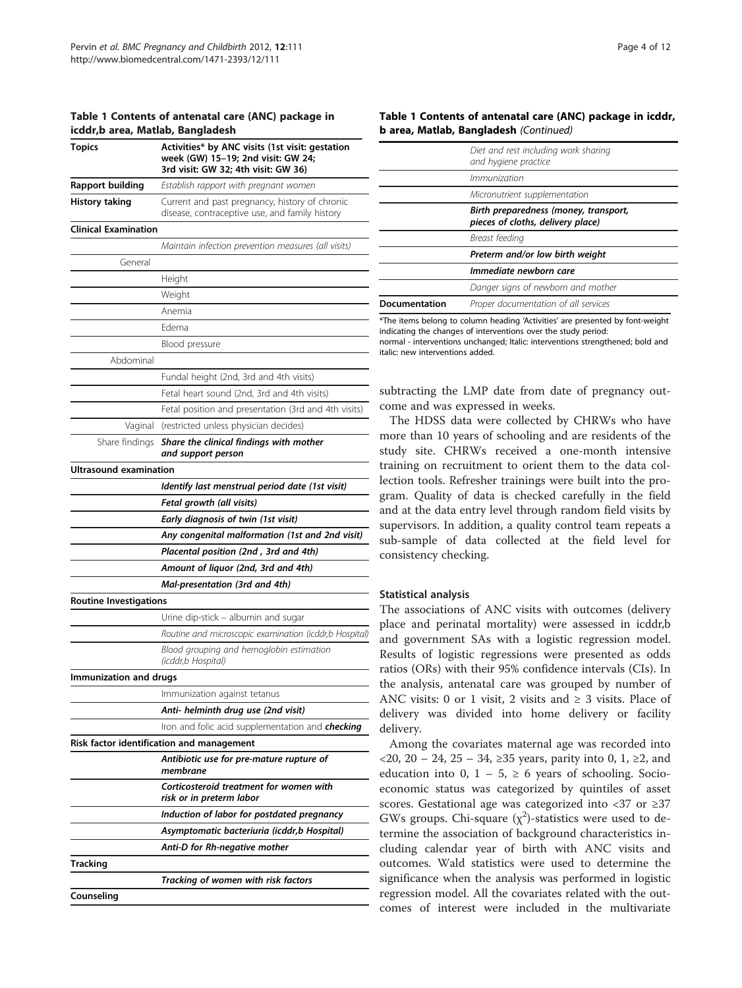<span id="page-3-0"></span>

|  | Table 1 Contents of antenatal care (ANC) package in |  |  |
|--|-----------------------------------------------------|--|--|
|  | icddr.b area, Matlab, Bangladesh                    |  |  |

| icddr,b area, Matlab, Bangladesh |                                                                                                                              |
|----------------------------------|------------------------------------------------------------------------------------------------------------------------------|
| <b>Topics</b>                    | Activities* by ANC visits (1st visit: gestation<br>week (GW) 15-19; 2nd visit: GW 24;<br>3rd visit: GW 32; 4th visit: GW 36) |
| <b>Rapport building</b>          | Establish rapport with pregnant women                                                                                        |
| <b>History taking</b>            | Current and past pregnancy, history of chronic<br>disease, contraceptive use, and family history                             |
| <b>Clinical Examination</b>      |                                                                                                                              |
|                                  | Maintain infection prevention measures (all visits)                                                                          |
| General                          |                                                                                                                              |
|                                  | Height                                                                                                                       |
|                                  | Weight                                                                                                                       |
|                                  | Anemia                                                                                                                       |
|                                  | Edema                                                                                                                        |
|                                  | Blood pressure                                                                                                               |
| Abdominal                        |                                                                                                                              |
|                                  | Fundal height (2nd, 3rd and 4th visits)                                                                                      |
|                                  | Fetal heart sound (2nd, 3rd and 4th visits)                                                                                  |
|                                  | Fetal position and presentation (3rd and 4th visits)                                                                         |
| Vaginal                          | (restricted unless physician decides)                                                                                        |
| Share findings                   | Share the clinical findings with mother<br>and support person                                                                |
| Ultrasound examination           |                                                                                                                              |
|                                  | Identify last menstrual period date (1st visit)                                                                              |
|                                  | Fetal growth (all visits)                                                                                                    |
|                                  | Early diagnosis of twin (1st visit)                                                                                          |
|                                  | Any congenital malformation (1st and 2nd visit)                                                                              |
|                                  | Placental position (2nd, 3rd and 4th)                                                                                        |
|                                  | Amount of liquor (2nd, 3rd and 4th)                                                                                          |
|                                  | Mal-presentation (3rd and 4th)                                                                                               |
| <b>Routine Investigations</b>    |                                                                                                                              |
|                                  | Urine dip-stick - albumin and sugar                                                                                          |
|                                  | Routine and microscopic examination (icddr,b Hospital)                                                                       |
|                                  | Blood grouping and hemoglobin estimation<br>(icddr,b Hospital)                                                               |
| Immunization and drugs           |                                                                                                                              |
|                                  | Immunization against tetanus                                                                                                 |
|                                  | Anti- helminth drug use (2nd visit)                                                                                          |
|                                  | Iron and folic acid supplementation and <b>checking</b>                                                                      |
|                                  | Risk factor identification and management                                                                                    |
|                                  | Antibiotic use for pre-mature rupture of<br>membrane                                                                         |
|                                  | Corticosteroid treatment for women with<br>risk or in preterm labor                                                          |
|                                  | Induction of labor for postdated pregnancy                                                                                   |
|                                  | Asymptomatic bacteriuria (icddr,b Hospital)                                                                                  |
|                                  | Anti-D for Rh-negative mother                                                                                                |
| Tracking                         |                                                                                                                              |
|                                  | Tracking of women with risk factors                                                                                          |
| Counseling                       |                                                                                                                              |
|                                  |                                                                                                                              |

|                      | Diet and rest including work sharing<br>and hygiene practice               |
|----------------------|----------------------------------------------------------------------------|
|                      | Immunization                                                               |
|                      | Micronutrient supplementation                                              |
|                      | Birth preparedness (money, transport,<br>pieces of cloths, delivery place) |
|                      | Breast feeding                                                             |
|                      | Preterm and/or low birth weight                                            |
|                      | Immediate newborn care                                                     |
|                      | Danger signs of newborn and mother                                         |
| <b>Documentation</b> | Proper documentation of all services                                       |
|                      |                                                                            |

\*The items belong to column heading 'Activities' are presented by font-weight indicating the changes of interventions over the study period: normal - interventions unchanged; Italic: interventions strengthened; bold and italic: new interventions added.

subtracting the LMP date from date of pregnancy outcome and was expressed in weeks.

The HDSS data were collected by CHRWs who have more than 10 years of schooling and are residents of the study site. CHRWs received a one-month intensive training on recruitment to orient them to the data collection tools. Refresher trainings were built into the program. Quality of data is checked carefully in the field and at the data entry level through random field visits by supervisors. In addition, a quality control team repeats a sub-sample of data collected at the field level for consistency checking.

#### Statistical analysis

The associations of ANC visits with outcomes (delivery place and perinatal mortality) were assessed in icddr,b and government SAs with a logistic regression model. Results of logistic regressions were presented as odds ratios (ORs) with their 95% confidence intervals (CIs). In the analysis, antenatal care was grouped by number of ANC visits: 0 or 1 visit, 2 visits and  $\geq$  3 visits. Place of delivery was divided into home delivery or facility delivery.

Among the covariates maternal age was recorded into <20, 20 – 24, 25 – 34, ≥35 years, parity into 0, 1, ≥2, and education into 0,  $1 - 5$ ,  $\ge 6$  years of schooling. Socioeconomic status was categorized by quintiles of asset scores. Gestational age was categorized into <37 or ≥37 GWs groups. Chi-square  $(\chi^2)$ -statistics were used to determine the association of background characteristics including calendar year of birth with ANC visits and outcomes. Wald statistics were used to determine the significance when the analysis was performed in logistic regression model. All the covariates related with the outcomes of interest were included in the multivariate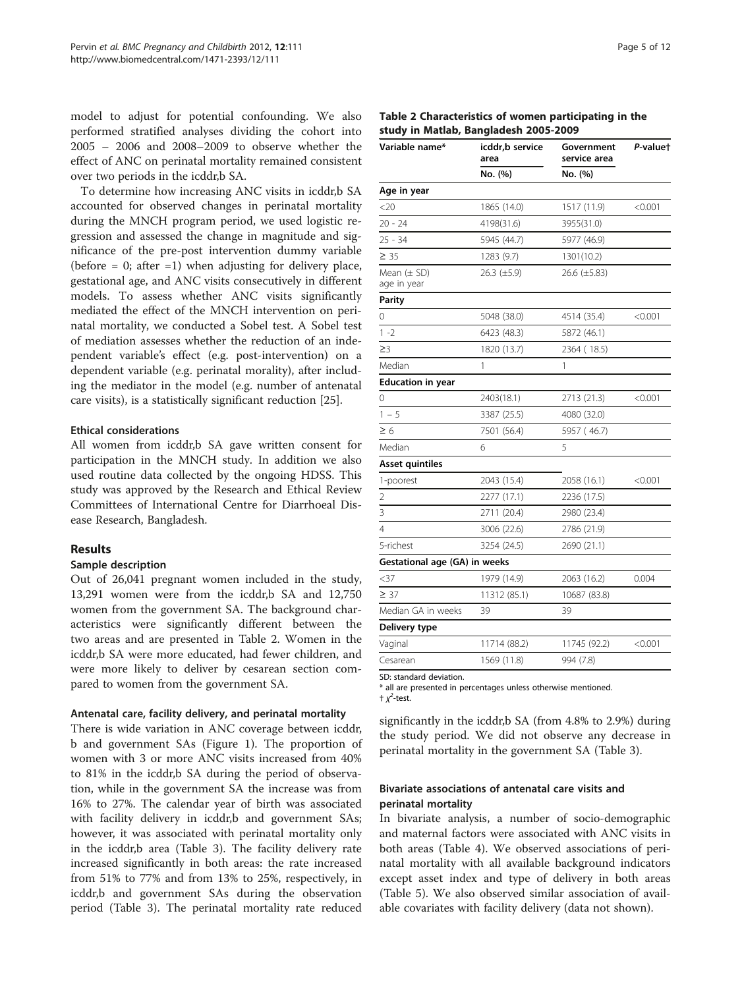model to adjust for potential confounding. We also performed stratified analyses dividing the cohort into 2005 – 2006 and 2008–2009 to observe whether the effect of ANC on perinatal mortality remained consistent over two periods in the icddr,b SA.

To determine how increasing ANC visits in icddr,b SA accounted for observed changes in perinatal mortality during the MNCH program period, we used logistic regression and assessed the change in magnitude and significance of the pre-post intervention dummy variable (before  $= 0$ ; after  $= 1$ ) when adjusting for delivery place, gestational age, and ANC visits consecutively in different models. To assess whether ANC visits significantly mediated the effect of the MNCH intervention on perinatal mortality, we conducted a Sobel test. A Sobel test of mediation assesses whether the reduction of an independent variable's effect (e.g. post-intervention) on a dependent variable (e.g. perinatal morality), after including the mediator in the model (e.g. number of antenatal care visits), is a statistically significant reduction [[25\]](#page-10-0).

#### Ethical considerations

All women from icddr,b SA gave written consent for participation in the MNCH study. In addition we also used routine data collected by the ongoing HDSS. This study was approved by the Research and Ethical Review Committees of International Centre for Diarrhoeal Disease Research, Bangladesh.

#### Results

#### Sample description

Out of 26,041 pregnant women included in the study, 13,291 women were from the icddr,b SA and 12,750 women from the government SA. The background characteristics were significantly different between the two areas and are presented in Table 2. Women in the icddr,b SA were more educated, had fewer children, and were more likely to deliver by cesarean section compared to women from the government SA.

#### Antenatal care, facility delivery, and perinatal mortality

There is wide variation in ANC coverage between icddr, b and government SAs (Figure [1](#page-5-0)). The proportion of women with 3 or more ANC visits increased from 40% to 81% in the icddr,b SA during the period of observation, while in the government SA the increase was from 16% to 27%. The calendar year of birth was associated with facility delivery in icddr, b and government SAs; however, it was associated with perinatal mortality only in the icddr,b area (Table [3\)](#page-5-0). The facility delivery rate increased significantly in both areas: the rate increased from 51% to 77% and from 13% to 25%, respectively, in icddr,b and government SAs during the observation period (Table [3](#page-5-0)). The perinatal mortality rate reduced

| Page 5 of 12 |  |  |  |
|--------------|--|--|--|
|--------------|--|--|--|

#### Table 2 Characteristics of women participating in the study in Matlab, Bangladesh 2005-2009

| Variable name*                 | icddr,b service<br>area | Government<br>service area | P-valuet |  |
|--------------------------------|-------------------------|----------------------------|----------|--|
|                                | No. (%)                 | No. (%)                    |          |  |
| Age in year                    |                         |                            |          |  |
| <20                            | 1865 (14.0)             | 1517 (11.9)                | < 0.001  |  |
| $20 - 24$                      | 4198(31.6)              | 3955(31.0)                 |          |  |
| $25 - 34$                      | 5945 (44.7)             | 5977 (46.9)                |          |  |
| $\geq 35$                      | 1283 (9.7)              | 1301(10.2)                 |          |  |
| Mean $(\pm$ SD)<br>age in year | $26.3 \ (\pm 5.9)$      | 26.6 (±5.83)               |          |  |
| Parity                         |                         |                            |          |  |
| 0                              | 5048 (38.0)             | 4514 (35.4)                | < 0.001  |  |
| $1 - 2$                        | 6423 (48.3)             | 5872 (46.1)                |          |  |
| $\geq$ 3                       | 1820 (13.7)             | 2364 (18.5)                |          |  |
| Median                         | 1                       | 1                          |          |  |
| <b>Education in year</b>       |                         |                            |          |  |
| 0                              | 2403(18.1)              | 2713 (21.3)                | < 0.001  |  |
| $1 - 5$                        | 3387 (25.5)             | 4080 (32.0)                |          |  |
| $\geq 6$                       | 7501 (56.4)             | 5957 (46.7)                |          |  |
| Median                         | 6                       | 5                          |          |  |
| <b>Asset quintiles</b>         |                         |                            |          |  |
| 1-poorest                      | 2043 (15.4)             | 2058 (16.1)                | < 0.001  |  |
| $\overline{2}$                 | 2277 (17.1)             | 2236 (17.5)                |          |  |
| 3                              | 2711 (20.4)             | 2980 (23.4)                |          |  |
| 4                              | 3006 (22.6)             | 2786 (21.9)                |          |  |
| 5-richest                      | 3254 (24.5)             | 2690 (21.1)                |          |  |
| Gestational age (GA) in weeks  |                         |                            |          |  |
| $37$                           | 1979 (14.9)             | 2063 (16.2)                | 0.004    |  |
| $\geq 37$                      | 11312 (85.1)            | 10687 (83.8)               |          |  |
| Median GA in weeks             | 39                      | 39                         |          |  |
| Delivery type                  |                         |                            |          |  |
| Vaginal                        | 11714 (88.2)            | 11745 (92.2)               | < 0.001  |  |
| Cesarean                       | 1569 (11.8)             | 994 (7.8)                  |          |  |
|                                |                         |                            |          |  |

SD: standard deviation.

\* all are presented in percentages unless otherwise mentioned.  $\pm \chi^2$ -test.

significantly in the icddr,b SA (from 4.8% to 2.9%) during the study period. We did not observe any decrease in perinatal mortality in the government SA (Table [3](#page-5-0)).

#### Bivariate associations of antenatal care visits and perinatal mortality

In bivariate analysis, a number of socio-demographic and maternal factors were associated with ANC visits in both areas (Table [4](#page-6-0)). We observed associations of perinatal mortality with all available background indicators except asset index and type of delivery in both areas (Table [5\)](#page-7-0). We also observed similar association of available covariates with facility delivery (data not shown).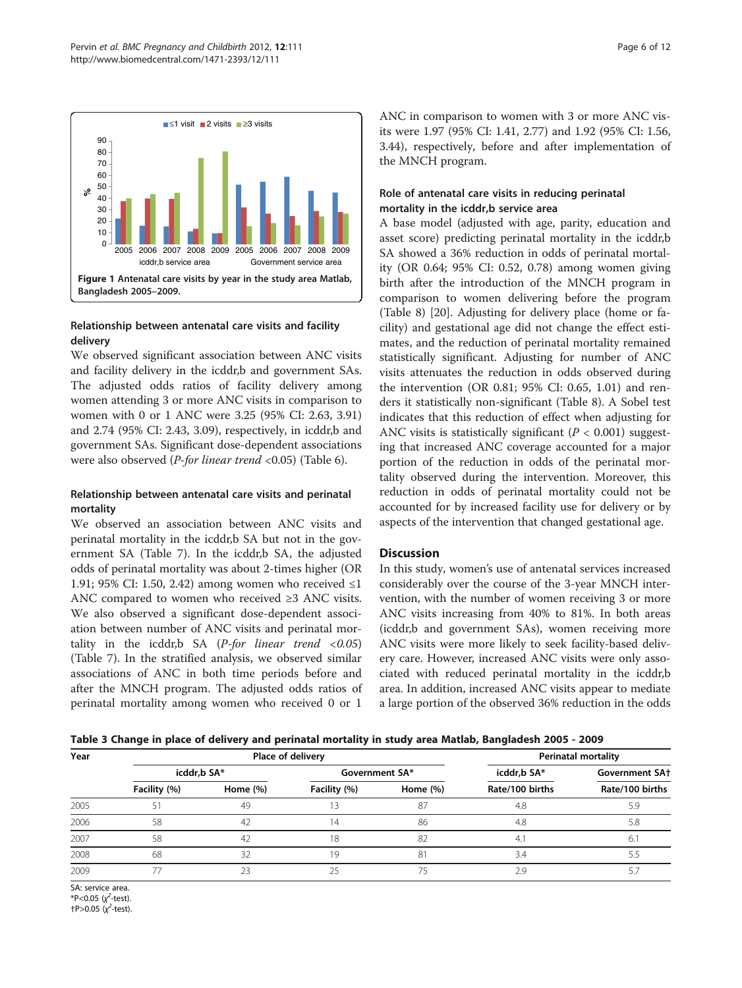<span id="page-5-0"></span>

### Relationship between antenatal care visits and facility delivery

We observed significant association between ANC visits and facility delivery in the icddr,b and government SAs. The adjusted odds ratios of facility delivery among women attending 3 or more ANC visits in comparison to women with 0 or 1 ANC were 3.25 (95% CI: 2.63, 3.91) and 2.74 (95% CI: 2.43, 3.09), respectively, in icddr,b and government SAs. Significant dose-dependent associations were also observed (*P-for linear trend* <0.05) (Table [6\)](#page-7-0).

## Relationship between antenatal care visits and perinatal mortality

We observed an association between ANC visits and perinatal mortality in the icddr,b SA but not in the government SA (Table [7](#page-8-0)). In the icddr,b SA, the adjusted odds of perinatal mortality was about 2-times higher (OR 1.91; 95% CI: 1.50, 2.42) among women who received ≤1 ANC compared to women who received ≥3 ANC visits. We also observed a significant dose-dependent association between number of ANC visits and perinatal mortality in the icddr,b SA ( $P$ -for linear trend <0.05) (Table [7\)](#page-8-0). In the stratified analysis, we observed similar associations of ANC in both time periods before and after the MNCH program. The adjusted odds ratios of perinatal mortality among women who received 0 or 1

ANC in comparison to women with 3 or more ANC visits were 1.97 (95% CI: 1.41, 2.77) and 1.92 (95% CI: 1.56, 3.44), respectively, before and after implementation of the MNCH program.

## Role of antenatal care visits in reducing perinatal mortality in the icddr,b service area

A base model (adjusted with age, parity, education and asset score) predicting perinatal mortality in the icddr,b SA showed a 36% reduction in odds of perinatal mortality (OR 0.64; 95% CI: 0.52, 0.78) among women giving birth after the introduction of the MNCH program in comparison to women delivering before the program (Table [8\)](#page-8-0) [\[20](#page-10-0)]. Adjusting for delivery place (home or facility) and gestational age did not change the effect estimates, and the reduction of perinatal mortality remained statistically significant. Adjusting for number of ANC visits attenuates the reduction in odds observed during the intervention (OR 0.81; 95% CI: 0.65, 1.01) and renders it statistically non-significant (Table [8\)](#page-8-0). A Sobel test indicates that this reduction of effect when adjusting for ANC visits is statistically significant ( $P < 0.001$ ) suggesting that increased ANC coverage accounted for a major portion of the reduction in odds of the perinatal mortality observed during the intervention. Moreover, this reduction in odds of perinatal mortality could not be accounted for by increased facility use for delivery or by aspects of the intervention that changed gestational age.

## **Discussion**

In this study, women's use of antenatal services increased considerably over the course of the 3-year MNCH intervention, with the number of women receiving 3 or more ANC visits increasing from 40% to 81%. In both areas (icddr,b and government SAs), women receiving more ANC visits were more likely to seek facility-based delivery care. However, increased ANC visits were only associated with reduced perinatal mortality in the icddr,b area. In addition, increased ANC visits appear to mediate a large portion of the observed 36% reduction in the odds

Table 3 Change in place of delivery and perinatal mortality in study area Matlab, Bangladesh 2005 - 2009

| Year |              |             | Place of delivery |             |                       | <b>Perinatal mortality</b> |
|------|--------------|-------------|-------------------|-------------|-----------------------|----------------------------|
|      | icddr,b SA*  |             | Government SA*    |             | <b>Government SA+</b> |                            |
|      | Facility (%) | Home $(\%)$ | Facility (%)      | Home $(\%)$ | Rate/100 births       | Rate/100 births            |
| 2005 | 51           | 49          |                   | 87          | 4.8                   | 5.9                        |
| 2006 | 58           | 42          | 14                | 86          | 4.8                   | 5.8                        |
| 2007 | 58           | 42          | 18                | 82          | 4.1                   | 6.1                        |
| 2008 | 68           | 32          | 19                | 81          | 3.4                   | 5.5                        |
| 2009 |              |             |                   |             | 2.9                   |                            |

SA: service area. \*P<0.05  $(x^2$ -test).  $+P > 0.05$  ( $\chi^2$ -test).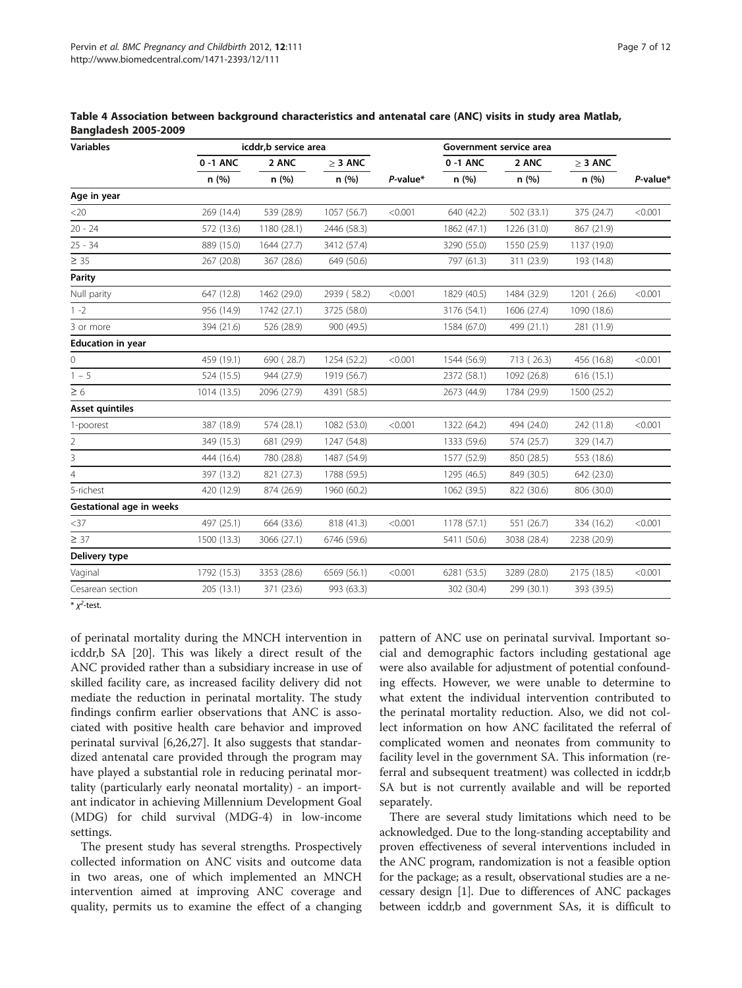| <b>Variables</b>                |             | icddr,b service area |              |             | Government service area |             |              |          |
|---------------------------------|-------------|----------------------|--------------|-------------|-------------------------|-------------|--------------|----------|
|                                 | 0 -1 ANC    | 2 ANC<br>n(%)        | $\geq$ 3 ANC |             | 0-1 ANC                 | 2 ANC       | $\geq$ 3 ANC |          |
|                                 | n(%)        |                      | n(%)         | $P$ -value* | n(%)                    | n (%)       | n (%)        | P-value* |
| Age in year                     |             |                      |              |             |                         |             |              |          |
| <20                             | 269 (14.4)  | 539 (28.9)           | 1057 (56.7)  | < 0.001     | 640 (42.2)              | 502 (33.1)  | 375 (24.7)   | < 0.001  |
| $20 - 24$                       | 572 (13.6)  | 1180 (28.1)          | 2446 (58.3)  |             | 1862 (47.1)             | 1226 (31.0) | 867 (21.9)   |          |
| $25 - 34$                       | 889 (15.0)  | 1644 (27.7)          | 3412 (57.4)  |             | 3290 (55.0)             | 1550 (25.9) | 1137 (19.0)  |          |
| $\geq 35$                       | 267 (20.8)  | 367 (28.6)           | 649 (50.6)   |             | 797 (61.3)              | 311 (23.9)  | 193 (14.8)   |          |
| <b>Parity</b>                   |             |                      |              |             |                         |             |              |          |
| Null parity                     | 647 (12.8)  | 1462 (29.0)          | 2939 (58.2)  | < 0.001     | 1829 (40.5)             | 1484 (32.9) | 1201 (26.6)  | < 0.001  |
| $1 - 2$                         | 956 (14.9)  | 1742 (27.1)          | 3725 (58.0)  |             | 3176 (54.1)             | 1606 (27.4) | 1090 (18.6)  |          |
| 3 or more                       | 394 (21.6)  | 526 (28.9)           | 900 (49.5)   |             | 1584 (67.0)             | 499 (21.1)  | 281 (11.9)   |          |
| <b>Education in year</b>        |             |                      |              |             |                         |             |              |          |
| 0                               | 459 (19.1)  | 690 (28.7)           | 1254 (52.2)  | < 0.001     | 1544 (56.9)             | 713 (26.3)  | 456 (16.8)   | < 0.001  |
| $1 - 5$                         | 524 (15.5)  | 944 (27.9)           | 1919 (56.7)  |             | 2372 (58.1)             | 1092 (26.8) | 616(15.1)    |          |
| $\geq 6$                        | 1014 (13.5) | 2096 (27.9)          | 4391 (58.5)  |             | 2673 (44.9)             | 1784 (29.9) | 1500 (25.2)  |          |
| <b>Asset quintiles</b>          |             |                      |              |             |                         |             |              |          |
| 1-poorest                       | 387 (18.9)  | 574 (28.1)           | 1082 (53.0)  | < 0.001     | 1322 (64.2)             | 494 (24.0)  | 242 (11.8)   | < 0.001  |
| $\overline{2}$                  | 349 (15.3)  | 681 (29.9)           | 1247 (54.8)  |             | 1333 (59.6)             | 574 (25.7)  | 329 (14.7)   |          |
| 3                               | 444 (16.4)  | 780 (28.8)           | 1487 (54.9)  |             | 1577 (52.9)             | 850 (28.5)  | 553 (18.6)   |          |
| $\overline{4}$                  | 397 (13.2)  | 821 (27.3)           | 1788 (59.5)  |             | 1295 (46.5)             | 849 (30.5)  | 642 (23.0)   |          |
| 5-richest                       | 420 (12.9)  | 874 (26.9)           | 1960 (60.2)  |             | 1062 (39.5)             | 822 (30.6)  | 806 (30.0)   |          |
| <b>Gestational age in weeks</b> |             |                      |              |             |                         |             |              |          |
| $<$ 37                          | 497 (25.1)  | 664 (33.6)           | 818 (41.3)   | < 0.001     | 1178 (57.1)             | 551 (26.7)  | 334 (16.2)   | < 0.001  |
| $\geq$ 37                       | 1500 (13.3) | 3066 (27.1)          | 6746 (59.6)  |             | 5411 (50.6)             | 3038 (28.4) | 2238 (20.9)  |          |
| Delivery type                   |             |                      |              |             |                         |             |              |          |
| Vaginal                         | 1792 (15.3) | 3353 (28.6)          | 6569 (56.1)  | < 0.001     | 6281 (53.5)             | 3289 (28.0) | 2175 (18.5)  | < 0.001  |
| Cesarean section                | 205 (13.1)  | 371 (23.6)           | 993 (63.3)   |             | 302 (30.4)              | 299 (30.1)  | 393 (39.5)   |          |

<span id="page-6-0"></span>Table 4 Association between background characteristics and antenatal care (ANC) visits in study area Matlab, Bangladesh 2005-2009

 $*\chi^2$ -test.

of perinatal mortality during the MNCH intervention in icddr,b SA [\[20](#page-10-0)]. This was likely a direct result of the ANC provided rather than a subsidiary increase in use of skilled facility care, as increased facility delivery did not mediate the reduction in perinatal mortality. The study findings confirm earlier observations that ANC is associated with positive health care behavior and improved perinatal survival [[6,26,27\]](#page-10-0). It also suggests that standardized antenatal care provided through the program may have played a substantial role in reducing perinatal mortality (particularly early neonatal mortality) - an important indicator in achieving Millennium Development Goal (MDG) for child survival (MDG-4) in low-income settings.

The present study has several strengths. Prospectively collected information on ANC visits and outcome data in two areas, one of which implemented an MNCH intervention aimed at improving ANC coverage and quality, permits us to examine the effect of a changing

pattern of ANC use on perinatal survival. Important social and demographic factors including gestational age were also available for adjustment of potential confounding effects. However, we were unable to determine to what extent the individual intervention contributed to the perinatal mortality reduction. Also, we did not collect information on how ANC facilitated the referral of complicated women and neonates from community to facility level in the government SA. This information (referral and subsequent treatment) was collected in icddr,b SA but is not currently available and will be reported separately.

There are several study limitations which need to be acknowledged. Due to the long-standing acceptability and proven effectiveness of several interventions included in the ANC program, randomization is not a feasible option for the package; as a result, observational studies are a necessary design [\[1](#page-10-0)]. Due to differences of ANC packages between icddr,b and government SAs, it is difficult to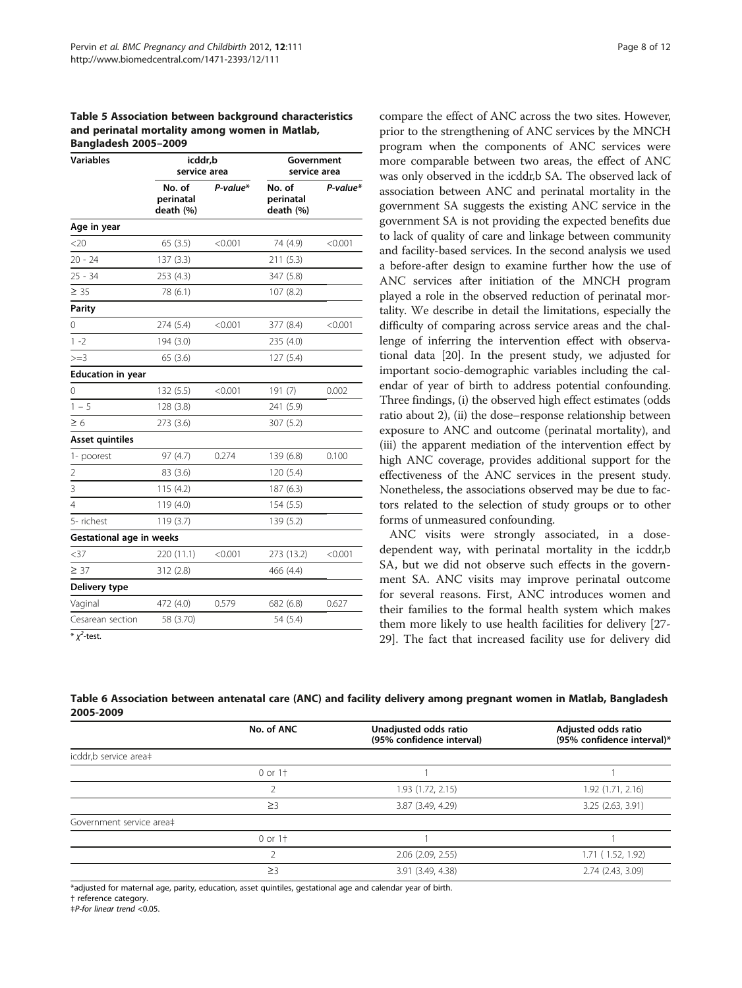<span id="page-7-0"></span>Table 5 Association between background characteristics and perinatal mortality among women in Matlab, Bangladesh 2005–2009

| <b>Variables</b>                | icddr,b<br>service area          |          | Government<br>service area       |          |  |
|---------------------------------|----------------------------------|----------|----------------------------------|----------|--|
|                                 | No. of<br>perinatal<br>death (%) | P-value* | No. of<br>perinatal<br>death (%) | P-value* |  |
| Age in year                     |                                  |          |                                  |          |  |
| <20                             | 65(3.5)                          | < 0.001  | 74 (4.9)                         | < 0.001  |  |
| $20 - 24$                       | 137(3.3)                         |          | 211(5.3)                         |          |  |
| $25 - 34$                       | 253 (4.3)                        |          | 347 (5.8)                        |          |  |
| $\geq 35$                       | 78 (6.1)                         |          | 107(8.2)                         |          |  |
| <b>Parity</b>                   |                                  |          |                                  |          |  |
| 0                               | 274 (5.4)                        | < 0.001  | 377 (8.4)                        | < 0.001  |  |
| $1 - 2$                         | 194 (3.0)                        |          | 235 (4.0)                        |          |  |
| $>=$ 3                          | 65(3.6)                          |          | 127 (5.4)                        |          |  |
| <b>Education in year</b>        |                                  |          |                                  |          |  |
| 0                               | 132 (5.5)                        | < 0.001  | 191(7)                           | 0.002    |  |
| $1 - 5$                         | 128 (3.8)                        |          | 241 (5.9)                        |          |  |
| $\geq 6$                        | 273 (3.6)                        |          | 307 (5.2)                        |          |  |
| Asset quintiles                 |                                  |          |                                  |          |  |
| 1- poorest                      | 97 (4.7)                         | 0.274    | 139 (6.8)                        | 0.100    |  |
| $\overline{2}$                  | 83 (3.6)                         |          | 120 (5.4)                        |          |  |
| 3                               | 115(4.2)                         |          | 187 (6.3)                        |          |  |
| $\overline{4}$                  | 119 (4.0)                        |          | 154 (5.5)                        |          |  |
| 5- richest                      | 119(3.7)                         |          | 139 (5.2)                        |          |  |
| <b>Gestational age in weeks</b> |                                  |          |                                  |          |  |
| $<$ 37                          | 220 (11.1)                       | < 0.001  | 273 (13.2)                       | < 0.001  |  |
| $\geq 37$                       | 312 (2.8)                        |          | 466 (4.4)                        |          |  |
| Delivery type                   |                                  |          |                                  |          |  |
| Vaginal                         | 472 (4.0)                        | 0.579    | 682 (6.8)                        | 0.627    |  |
| Cesarean section                | 58 (3.70)                        |          | 54 (5.4)                         |          |  |
|                                 |                                  |          |                                  |          |  |

 $*\chi^2$ -test.

compare the effect of ANC across the two sites. However, prior to the strengthening of ANC services by the MNCH program when the components of ANC services were more comparable between two areas, the effect of ANC was only observed in the icddr,b SA. The observed lack of association between ANC and perinatal mortality in the government SA suggests the existing ANC service in the government SA is not providing the expected benefits due to lack of quality of care and linkage between community and facility-based services. In the second analysis we used a before-after design to examine further how the use of ANC services after initiation of the MNCH program played a role in the observed reduction of perinatal mortality. We describe in detail the limitations, especially the difficulty of comparing across service areas and the challenge of inferring the intervention effect with observational data [[20](#page-10-0)]. In the present study, we adjusted for important socio-demographic variables including the calendar of year of birth to address potential confounding. Three findings, (i) the observed high effect estimates (odds ratio about 2), (ii) the dose–response relationship between exposure to ANC and outcome (perinatal mortality), and (iii) the apparent mediation of the intervention effect by high ANC coverage, provides additional support for the effectiveness of the ANC services in the present study. Nonetheless, the associations observed may be due to factors related to the selection of study groups or to other forms of unmeasured confounding.

ANC visits were strongly associated, in a dosedependent way, with perinatal mortality in the icddr,b SA, but we did not observe such effects in the government SA. ANC visits may improve perinatal outcome for several reasons. First, ANC introduces women and their families to the formal health system which makes them more likely to use health facilities for delivery [\[27-](#page-10-0) [29\]](#page-10-0). The fact that increased facility use for delivery did

Table 6 Association between antenatal care (ANC) and facility delivery among pregnant women in Matlab, Bangladesh 2005-2009

|                          | No. of ANC  | Unadjusted odds ratio<br>(95% confidence interval) | Adjusted odds ratio<br>(95% confidence interval)* |
|--------------------------|-------------|----------------------------------------------------|---------------------------------------------------|
| icddr,b service area‡    |             |                                                    |                                                   |
|                          | $0$ or $1+$ |                                                    |                                                   |
|                          |             | 1.93 (1.72, 2.15)                                  | 1.92(1.71, 2.16)                                  |
|                          | $\geq$ 3    | 3.87 (3.49, 4.29)                                  | 3.25 (2.63, 3.91)                                 |
| Government service area‡ |             |                                                    |                                                   |
|                          | $0$ or $1+$ |                                                    |                                                   |
|                          |             | 2.06 (2.09, 2.55)                                  | 1.71 (1.52, 1.92)                                 |
|                          | $\geq$ 3    | 3.91 (3.49, 4.38)                                  | 2.74 (2.43, 3.09)                                 |
|                          |             |                                                    |                                                   |

\*adjusted for maternal age, parity, education, asset quintiles, gestational age and calendar year of birth.

† reference category.

‡P-for linear trend <0.05.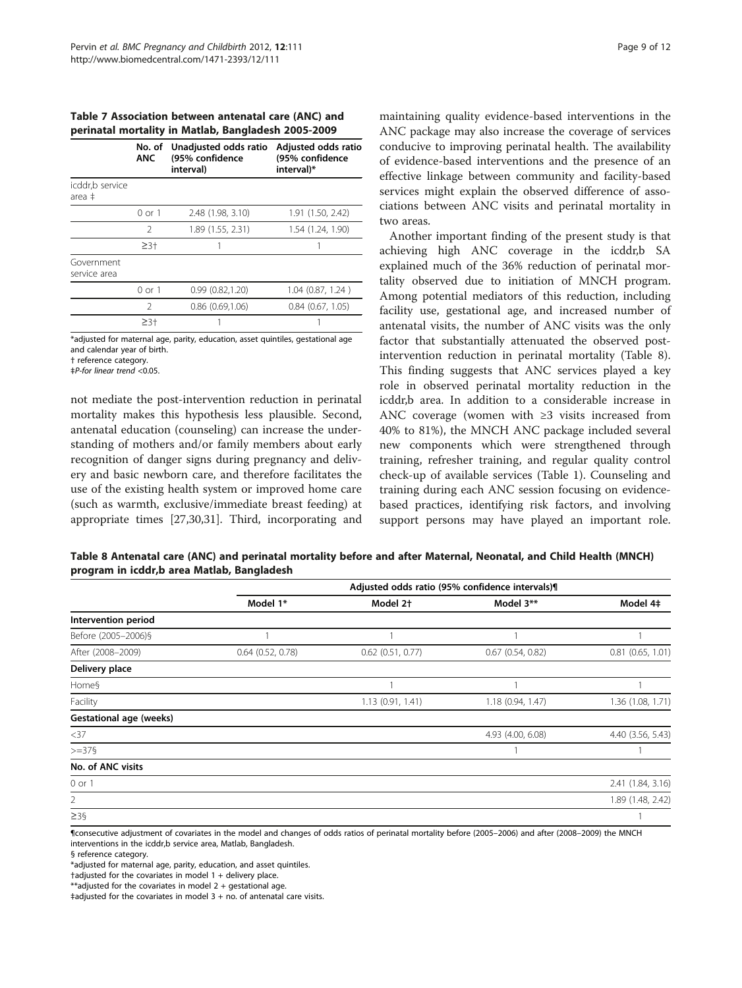<span id="page-8-0"></span>Table 7 Association between antenatal care (ANC) and perinatal mortality in Matlab, Bangladesh 2005-2009

|                            | No. of<br><b>ANC</b> | Unadjusted odds ratio<br>(95% confidence<br>interval) | Adjusted odds ratio<br>(95% confidence<br>interval)* |
|----------------------------|----------------------|-------------------------------------------------------|------------------------------------------------------|
| icddr,b service<br>area ‡  |                      |                                                       |                                                      |
|                            | $0$ or $1$           | 2.48 (1.98, 3.10)                                     | 1.91 (1.50, 2.42)                                    |
|                            | $\mathcal{P}$        | 1.89 (1.55, 2.31)                                     | 1.54 (1.24, 1.90)                                    |
|                            | $\geq 3+$            |                                                       |                                                      |
| Government<br>service area |                      |                                                       |                                                      |
|                            | $0$ or $1$           | 0.99(0.82, 1.20)                                      | 1.04 (0.87, 1.24)                                    |
|                            | $\mathfrak{D}$       | $0.86$ $(0.69, 1.06)$                                 | $0.84$ $(0.67, 1.05)$                                |
|                            | $\geq$ 3+            |                                                       |                                                      |

\*adjusted for maternal age, parity, education, asset quintiles, gestational age and calendar year of birth.

† reference category.

‡P-for linear trend <0.05.

not mediate the post-intervention reduction in perinatal mortality makes this hypothesis less plausible. Second, antenatal education (counseling) can increase the understanding of mothers and/or family members about early recognition of danger signs during pregnancy and delivery and basic newborn care, and therefore facilitates the use of the existing health system or improved home care (such as warmth, exclusive/immediate breast feeding) at appropriate times [[27](#page-10-0),[30](#page-10-0),[31](#page-10-0)]. Third, incorporating and maintaining quality evidence-based interventions in the ANC package may also increase the coverage of services conducive to improving perinatal health. The availability of evidence-based interventions and the presence of an effective linkage between community and facility-based services might explain the observed difference of associations between ANC visits and perinatal mortality in two areas.

Another important finding of the present study is that achieving high ANC coverage in the icddr,b SA explained much of the 36% reduction of perinatal mortality observed due to initiation of MNCH program. Among potential mediators of this reduction, including facility use, gestational age, and increased number of antenatal visits, the number of ANC visits was the only factor that substantially attenuated the observed postintervention reduction in perinatal mortality (Table 8). This finding suggests that ANC services played a key role in observed perinatal mortality reduction in the icddr,b area. In addition to a considerable increase in ANC coverage (women with ≥3 visits increased from 40% to 81%), the MNCH ANC package included several new components which were strengthened through training, refresher training, and regular quality control check-up of available services (Table [1](#page-3-0)). Counseling and training during each ANC session focusing on evidencebased practices, identifying risk factors, and involving support persons may have played an important role.

Table 8 Antenatal care (ANC) and perinatal mortality before and after Maternal, Neonatal, and Child Health (MNCH) program in icddr,b area Matlab, Bangladesh

|                                | Adjusted odds ratio (95% confidence intervals) |                       |                       |                     |  |  |
|--------------------------------|------------------------------------------------|-----------------------|-----------------------|---------------------|--|--|
|                                | Model 1*                                       | Model 2 <sup>+</sup>  | Model 3**             | Model 4‡            |  |  |
| Intervention period            |                                                |                       |                       |                     |  |  |
| Before (2005-2006)§            |                                                |                       |                       |                     |  |  |
| After (2008-2009)              | $0.64$ $(0.52, 0.78)$                          | $0.62$ $(0.51, 0.77)$ | $0.67$ $(0.54, 0.82)$ | $0.81$ (0.65, 1.01) |  |  |
| Delivery place                 |                                                |                       |                       |                     |  |  |
| Home§                          |                                                |                       |                       |                     |  |  |
| Facility                       |                                                | 1.13(0.91, 1.41)      | 1.18(0.94, 1.47)      | 1.36 (1.08, 1.71)   |  |  |
| <b>Gestational age (weeks)</b> |                                                |                       |                       |                     |  |  |
| $<$ 37                         |                                                |                       | 4.93 (4.00, 6.08)     | 4.40 (3.56, 5.43)   |  |  |
| $>=375$                        |                                                |                       |                       |                     |  |  |
| No. of ANC visits              |                                                |                       |                       |                     |  |  |
| $0$ or $1$                     |                                                |                       |                       | 2.41 (1.84, 3.16)   |  |  |
| $\overline{2}$                 |                                                |                       |                       | 1.89 (1.48, 2.42)   |  |  |
| $\geq$ 39                      |                                                |                       |                       |                     |  |  |

¶consecutive adjustment of covariates in the model and changes of odds ratios of perinatal mortality before (2005–2006) and after (2008–2009) the MNCH interventions in the icddr,b service area, Matlab, Bangladesh.

§ reference category.

\*adjusted for maternal age, parity, education, and asset quintiles.

 $t$ adjusted for the covariates in model 1 + delivery place.

\*\*adjusted for the covariates in model  $2 +$  gestational age.

 $\pm$ adiusted for the covariates in model 3 + no. of antenatal care visits.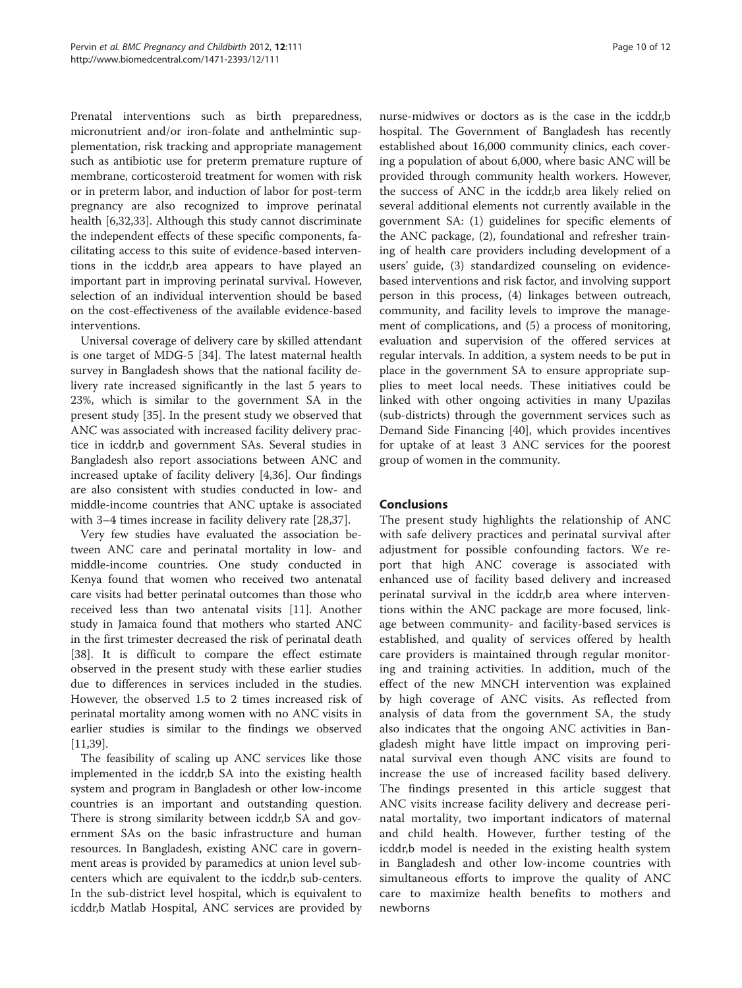Prenatal interventions such as birth preparedness, micronutrient and/or iron-folate and anthelmintic supplementation, risk tracking and appropriate management such as antibiotic use for preterm premature rupture of membrane, corticosteroid treatment for women with risk or in preterm labor, and induction of labor for post-term pregnancy are also recognized to improve perinatal health [\[6,32,](#page-10-0)[33\]](#page-11-0). Although this study cannot discriminate the independent effects of these specific components, facilitating access to this suite of evidence-based interventions in the icddr,b area appears to have played an important part in improving perinatal survival. However, selection of an individual intervention should be based on the cost-effectiveness of the available evidence-based interventions.

Universal coverage of delivery care by skilled attendant is one target of MDG-5 [\[34](#page-11-0)]. The latest maternal health survey in Bangladesh shows that the national facility delivery rate increased significantly in the last 5 years to 23%, which is similar to the government SA in the present study [[35\]](#page-11-0). In the present study we observed that ANC was associated with increased facility delivery practice in icddr,b and government SAs. Several studies in Bangladesh also report associations between ANC and increased uptake of facility delivery [\[4](#page-10-0)[,36](#page-11-0)]. Our findings are also consistent with studies conducted in low- and middle-income countries that ANC uptake is associated with 3–4 times increase in facility delivery rate [\[28](#page-10-0)[,37](#page-11-0)].

Very few studies have evaluated the association between ANC care and perinatal mortality in low- and middle-income countries. One study conducted in Kenya found that women who received two antenatal care visits had better perinatal outcomes than those who received less than two antenatal visits [\[11](#page-10-0)]. Another study in Jamaica found that mothers who started ANC in the first trimester decreased the risk of perinatal death [[38\]](#page-11-0). It is difficult to compare the effect estimate observed in the present study with these earlier studies due to differences in services included in the studies. However, the observed 1.5 to 2 times increased risk of perinatal mortality among women with no ANC visits in earlier studies is similar to the findings we observed [[11,](#page-10-0)[39\]](#page-11-0).

The feasibility of scaling up ANC services like those implemented in the icddr,b SA into the existing health system and program in Bangladesh or other low-income countries is an important and outstanding question. There is strong similarity between icddr,b SA and government SAs on the basic infrastructure and human resources. In Bangladesh, existing ANC care in government areas is provided by paramedics at union level subcenters which are equivalent to the icddr,b sub-centers. In the sub-district level hospital, which is equivalent to icddr,b Matlab Hospital, ANC services are provided by

nurse-midwives or doctors as is the case in the icddr,b hospital. The Government of Bangladesh has recently established about 16,000 community clinics, each covering a population of about 6,000, where basic ANC will be provided through community health workers. However, the success of ANC in the icddr,b area likely relied on several additional elements not currently available in the government SA: (1) guidelines for specific elements of the ANC package, (2), foundational and refresher training of health care providers including development of a users' guide, (3) standardized counseling on evidencebased interventions and risk factor, and involving support person in this process, (4) linkages between outreach, community, and facility levels to improve the management of complications, and (5) a process of monitoring, evaluation and supervision of the offered services at regular intervals. In addition, a system needs to be put in place in the government SA to ensure appropriate supplies to meet local needs. These initiatives could be linked with other ongoing activities in many Upazilas (sub-districts) through the government services such as Demand Side Financing [[40\]](#page-11-0), which provides incentives for uptake of at least 3 ANC services for the poorest group of women in the community.

## Conclusions

The present study highlights the relationship of ANC with safe delivery practices and perinatal survival after adjustment for possible confounding factors. We report that high ANC coverage is associated with enhanced use of facility based delivery and increased perinatal survival in the icddr,b area where interventions within the ANC package are more focused, linkage between community- and facility-based services is established, and quality of services offered by health care providers is maintained through regular monitoring and training activities. In addition, much of the effect of the new MNCH intervention was explained by high coverage of ANC visits. As reflected from analysis of data from the government SA, the study also indicates that the ongoing ANC activities in Bangladesh might have little impact on improving perinatal survival even though ANC visits are found to increase the use of increased facility based delivery. The findings presented in this article suggest that ANC visits increase facility delivery and decrease perinatal mortality, two important indicators of maternal and child health. However, further testing of the icddr,b model is needed in the existing health system in Bangladesh and other low-income countries with simultaneous efforts to improve the quality of ANC care to maximize health benefits to mothers and newborns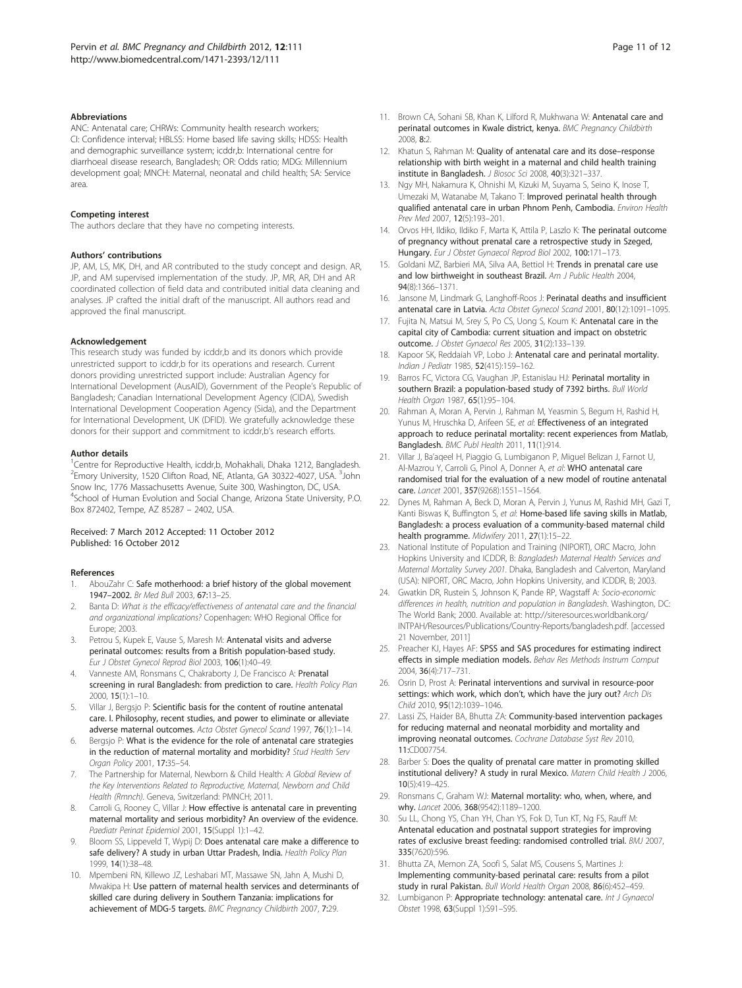#### <span id="page-10-0"></span>**Abbreviations**

ANC: Antenatal care; CHRWs: Community health research workers; CI: Confidence interval; HBLSS: Home based life saving skills; HDSS: Health and demographic surveillance system; icddr,b: International centre for diarrhoeal disease research, Bangladesh; OR: Odds ratio; MDG: Millennium development goal; MNCH: Maternal, neonatal and child health; SA: Service area.

#### Competing interest

The authors declare that they have no competing interests.

#### Authors' contributions

JP, AM, LS, MK, DH, and AR contributed to the study concept and design. AR, JP, and AM supervised implementation of the study. JP, MR, AR, DH and AR coordinated collection of field data and contributed initial data cleaning and analyses. JP crafted the initial draft of the manuscript. All authors read and approved the final manuscript.

#### Acknowledgement

This research study was funded by icddr,b and its donors which provide unrestricted support to icddr,b for its operations and research. Current donors providing unrestricted support include: Australian Agency for International Development (AusAID), Government of the People's Republic of Bangladesh; Canadian International Development Agency (CIDA), Swedish International Development Cooperation Agency (Sida), and the Department for International Development, UK (DFID). We gratefully acknowledge these donors for their support and commitment to icddr,b's research efforts.

#### Author details

<sup>1</sup> Centre for Reproductive Health, icddr,b, Mohakhali, Dhaka 1212, Bangladesh. <sup>2</sup> Emory University, 1520 Clifton Road, NE, Atlanta, GA 30322-4027, USA. <sup>3</sup> John Snow Inc, 1776 Massachusetts Avenue, Suite 300, Washington, DC, USA. 4 School of Human Evolution and Social Change, Arizona State University, P.O. Box 872402, Tempe, AZ 85287 – 2402, USA.

#### Received: 7 March 2012 Accepted: 11 October 2012 Published: 16 October 2012

#### References

- 1. AbouZahr C: Safe motherhood: a brief history of the global movement 1947–2002. Br Med Bull 2003, 67:13–25.
- 2. Banta D: What is the efficacy/effectiveness of antenatal care and the financial and organizational implications? Copenhagen: WHO Regional Office for Europe; 2003.
- 3. Petrou S, Kupek E, Vause S, Maresh M: Antenatal visits and adverse perinatal outcomes: results from a British population-based study. Eur J Obstet Gynecol Reprod Biol 2003, 106(1):40–49.
- 4. Vanneste AM, Ronsmans C, Chakraborty J, De Francisco A: Prenatal screening in rural Bangladesh: from prediction to care. Health Policy Plan 2000, 15(1):1–10.
- Villar J, Bergsjo P: Scientific basis for the content of routine antenatal care. I. Philosophy, recent studies, and power to eliminate or alleviate adverse maternal outcomes. Acta Obstet Gynecol Scand 1997, 76(1):1–14.
- 6. Bergsjo P: What is the evidence for the role of antenatal care strategies in the reduction of maternal mortality and morbidity? Stud Health Serv Organ Policy 2001, 17:35–54.
- 7. The Partnership for Maternal, Newborn & Child Health: A Global Review of the Key Interventions Related to Reproductive, Maternal, Newborn and Child Health (Rmnch). Geneva, Switzerland: PMNCH; 2011.
- 8. Carroli G, Rooney C, Villar J: How effective is antenatal care in preventing maternal mortality and serious morbidity? An overview of the evidence. Paediatr Perinat Epidemiol 2001, 15(Suppl 1):1–42.
- Bloom SS, Lippeveld T, Wypij D: Does antenatal care make a difference to safe delivery? A study in urban Uttar Pradesh, India. Health Policy Plan 1999, 14(1):38–48.
- 10. Mpembeni RN, Killewo JZ, Leshabari MT, Massawe SN, Jahn A, Mushi D, Mwakipa H: Use pattern of maternal health services and determinants of skilled care during delivery in Southern Tanzania: implications for achievement of MDG-5 targets. BMC Pregnancy Childbirth 2007, 7:29.
- 
- 11. Brown CA, Sohani SB, Khan K, Lilford R, Mukhwana W: Antenatal care and perinatal outcomes in Kwale district, kenya. BMC Pregnancy Childbirth 2008, 8:2.
- 12. Khatun S, Rahman M: Quality of antenatal care and its dose-response relationship with birth weight in a maternal and child health training institute in Bangladesh. J Biosoc Sci 2008, 40(3):321–337.
- 13. Ngy MH, Nakamura K, Ohnishi M, Kizuki M, Suyama S, Seino K, Inose T, Umezaki M, Watanabe M, Takano T: Improved perinatal health through qualified antenatal care in urban Phnom Penh, Cambodia. Environ Health Prev Med 2007, 12(5):193–201.
- 14. Orvos HH, Ildiko, Ildiko F, Marta K, Attila P, Laszlo K: The perinatal outcome of pregnancy without prenatal care a retrospective study in Szeged, Hungary. Eur J Obstet Gynaecol Reprod Biol 2002, 100:171–173.
- 15. Goldani MZ, Barbieri MA, Silva AA, Bettiol H: Trends in prenatal care use and low birthweight in southeast Brazil. Am J Public Health 2004, 94(8):1366–1371.
- 16. Jansone M, Lindmark G, Langhoff-Roos J: Perinatal deaths and insufficient antenatal care in Latvia. Acta Obstet Gynecol Scand 2001, 80(12):1091-1095.
- 17. Fujita N, Matsui M, Srey S, Po CS, Uong S, Koum K: Antenatal care in the capital city of Cambodia: current situation and impact on obstetric outcome. J Obstet Gynaecol Res 2005, 31(2):133–139.
- 18. Kapoor SK, Reddaiah VP, Lobo J: Antenatal care and perinatal mortality. Indian J Pediatr 1985, 52(415):159–162.
- 19. Barros FC, Victora CG, Vaughan JP, Estanislau HJ: Perinatal mortality in southern Brazil: a population-based study of 7392 births. Bull World Health Organ 1987, 65(1):95–104.
- 20. Rahman A, Moran A, Pervin J, Rahman M, Yeasmin S, Begum H, Rashid H, Yunus M, Hruschka D, Arifeen SE, et al: Effectiveness of an integrated approach to reduce perinatal mortality: recent experiences from Matlab, Bangladesh. BMC Publ Health 2011, 11(1):914.
- 21. Villar J, Ba'aqeel H, Piaggio G, Lumbiganon P, Miguel Belizan J, Farnot U, Al-Mazrou Y, Carroli G, Pinol A, Donner A, et al: WHO antenatal care randomised trial for the evaluation of a new model of routine antenatal care. Lancet 2001, 357(9268):1551–1564.
- 22. Dynes M, Rahman A, Beck D, Moran A, Pervin J, Yunus M, Rashid MH, Gazi T, Kanti Biswas K, Buffington S, et al: Home-based life saving skills in Matlab, Bangladesh: a process evaluation of a community-based maternal child health programme. Midwifery 2011, 27(1):15–22.
- 23. National Institute of Population and Training (NIPORT), ORC Macro, John Hopkins University and ICDDR, B: Bangladesh Maternal Health Services and Maternal Mortality Survey 2001. Dhaka, Bangladesh and Calverton, Maryland (USA): NIPORT, ORC Macro, John Hopkins University, and ICDDR, B; 2003.
- 24. Gwatkin DR, Rustein S, Johnson K, Pande RP, Wagstaff A: Socio-economic differences in health, nutrition and population in Bangladesh. Washington, DC: The World Bank; 2000. Available at: [http://siteresources.worldbank.org/](http://siteresources.worldbank.org/INTPAH/Resources/Publications/Country-Reports/bangladesh.pdf) [INTPAH/Resources/Publications/Country-Reports/bangladesh.pdf](http://siteresources.worldbank.org/INTPAH/Resources/Publications/Country-Reports/bangladesh.pdf). [accessed 21 November, 2011]
- 25. Preacher KJ, Hayes AF: SPSS and SAS procedures for estimating indirect effects in simple mediation models. Behav Res Methods Instrum Comput 2004, 36(4):717–731.
- 26. Osrin D, Prost A: Perinatal interventions and survival in resource-poor settings: which work, which don't, which have the jury out? Arch Dis Child 2010, 95(12):1039–1046.
- 27. Lassi ZS, Haider BA, Bhutta ZA: Community-based intervention packages for reducing maternal and neonatal morbidity and mortality and improving neonatal outcomes. Cochrane Database Syst Rev 2010, 11:CD007754.
- 28. Barber S: Does the quality of prenatal care matter in promoting skilled institutional delivery? A study in rural Mexico. Matern Child Health J 2006, 10(5):419–425.
- 29. Ronsmans C, Graham WJ: Maternal mortality: who, when, where, and why. Lancet 2006, 368(9542):1189–1200.
- 30. Su LL, Chong YS, Chan YH, Chan YS, Fok D, Tun KT, Ng FS, Rauff M: Antenatal education and postnatal support strategies for improving rates of exclusive breast feeding: randomised controlled trial. BMJ 2007, 335(7620):596.
- 31. Bhutta ZA, Memon ZA, Soofi S, Salat MS, Cousens S, Martines J: Implementing community-based perinatal care: results from a pilot study in rural Pakistan. Bull World Health Organ 2008, 86(6):452–459.
- 32. Lumbiganon P: Appropriate technology: antenatal care. Int J Gynaecol Obstet 1998, 63(Suppl 1):S91–S95.